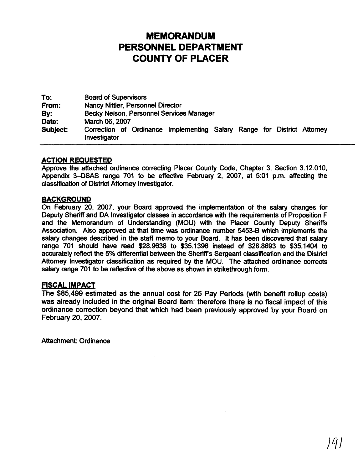## **MEMORANDUM PERSONNEL DEPARTMENT COUNTY OF PLACER**

To: Board of Supervisors From: Nancy Nittler, Personnel Director By: Becky Nelson, Personnel Services Manager<br>
Date: March 06, 2007 March 06, 2007 Subject: Correction of Ordinance Implementing Salary Range for District Attorney lnvestigator

#### **ACTION REQUESTED**

Approve the attached ordinance correcting Placer County Code, Chapter 3, Section 3.12.010, Appendix 3-DSAS range 701 to be effective February 2, 2007, at 5:01 p.m. affecting the classification of District Attorney Investigator.

#### **BACKGROUND**

On February 20, 2007, your Board approved the implementation of the salary changes for Deputy Sheriff and DA Investigator classes in accordance with the requirements of Proposition F and the Memorandum of Understanding (MOU) with the Placer County Deputy Sheriffs Association. Also approved at that time was ordinance number 5453-8 which implements the salary changes described in the staff memo to your Board. It has been discovered that salary range 701 should have read \$28.9638 to \$35.1396 instead of \$28.8693 to \$35.1404 to accurately reflect the 5% differential between the Sheriff's Sergeant classification and the District Attorney lnvestigator classification as required by the MOU. The attached ordinance corrects salary range 701 to be reflective of the above as shown in strikethrough form.

### **FISCAL IMPACT**

The \$85,499 estimated as the annual cost for 26 Pay Periods (with benefrt rollup costs) was already included in the original Board item; therefore there is no fiscal impact of this ordinance correction beyond that which had been previously approved by your Board on February 20, 2007.

Attachment: Ordinance